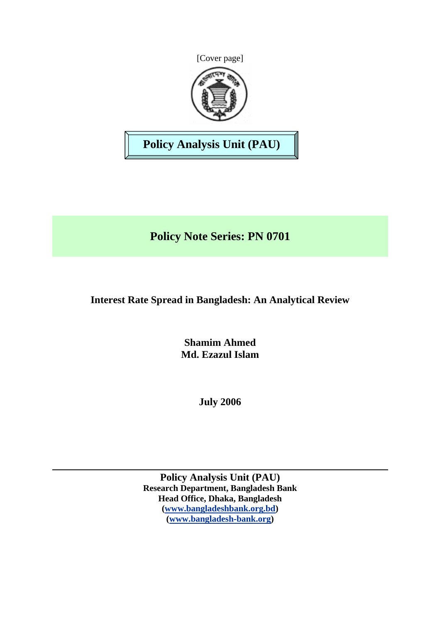



**Policy Analysis Unit (PAU)** 

**Policy Note Series: PN 0701** 

# **Interest Rate Spread in Bangladesh: An Analytical Review**

**Shamim Ahmed Md. Ezazul Islam** 

**July 2006** 

**Policy Analysis Unit (PAU) Research Department, Bangladesh Bank Head Office, Dhaka, Bangladesh ([www.bangladeshbank.org.bd](http://www.bangladeshbank.org.bd/)) ([www.bangladesh-bank.org](http://www.bangladesh-bank.org/))**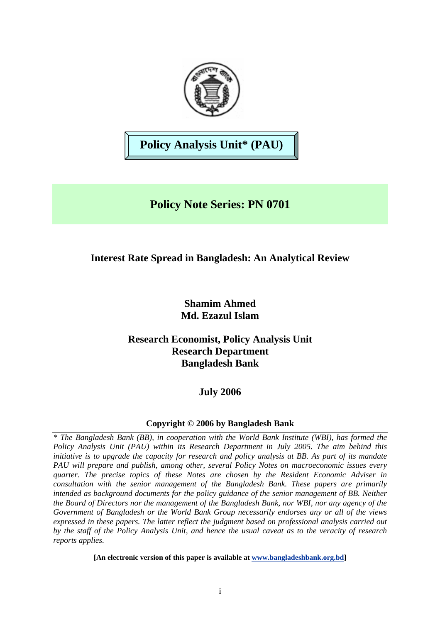

**Policy Analysis Unit\* (PAU)** 

# **Policy Note Series: PN 0701**

# **Interest Rate Spread in Bangladesh: An Analytical Review**

# **Shamim Ahmed Md. Ezazul Islam**

# **Research Economist, Policy Analysis Unit Research Department Bangladesh Bank**

# **July 2006**

# **Copyright © 2006 by Bangladesh Bank**

*\* The Bangladesh Bank (BB), in cooperation with the World Bank Institute (WBI), has formed the Policy Analysis Unit (PAU) within its Research Department in July 2005. The aim behind this initiative is to upgrade the capacity for research and policy analysis at BB. As part of its mandate PAU will prepare and publish, among other, several Policy Notes on macroeconomic issues every quarter. The precise topics of these Notes are chosen by the Resident Economic Adviser in consultation with the senior management of the Bangladesh Bank. These papers are primarily intended as background documents for the policy guidance of the senior management of BB. Neither the Board of Directors nor the management of the Bangladesh Bank, nor WBI, nor any agency of the Government of Bangladesh or the World Bank Group necessarily endorses any or all of the views expressed in these papers. The latter reflect the judgment based on professional analysis carried out by the staff of the Policy Analysis Unit, and hence the usual caveat as to the veracity of research reports applies.*

**[An electronic version of this paper is available at [www.bangladeshbank.org.bd](http://www.bangladeshbank.org.bd/research/pau.html)]**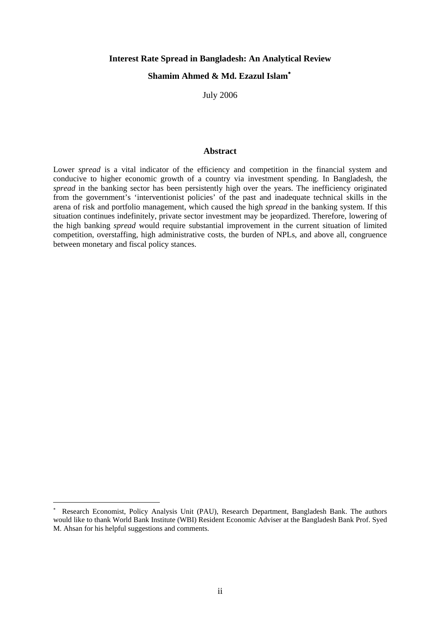#### **Interest Rate Spread in Bangladesh: An Analytical Review**

#### **Shamim Ahmed & Md. Ezazul Islam**[∗](#page-2-0)

July 2006

#### **Abstract**

Lower *spread* is a vital indicator of the efficiency and competition in the financial system and conducive to higher economic growth of a country via investment spending. In Bangladesh, the *spread* in the banking sector has been persistently high over the years. The inefficiency originated from the government's 'interventionist policies' of the past and inadequate technical skills in the arena of risk and portfolio management, which caused the high *spread* in the banking system. If this situation continues indefinitely, private sector investment may be jeopardized. Therefore, lowering of the high banking *spread* would require substantial improvement in the current situation of limited competition, overstaffing, high administrative costs, the burden of NPLs, and above all, congruence between monetary and fiscal policy stances.

 $\overline{a}$ 

<span id="page-2-0"></span><sup>∗</sup> Research Economist, Policy Analysis Unit (PAU), Research Department, Bangladesh Bank. The authors would like to thank World Bank Institute (WBI) Resident Economic Adviser at the Bangladesh Bank Prof. Syed M. Ahsan for his helpful suggestions and comments.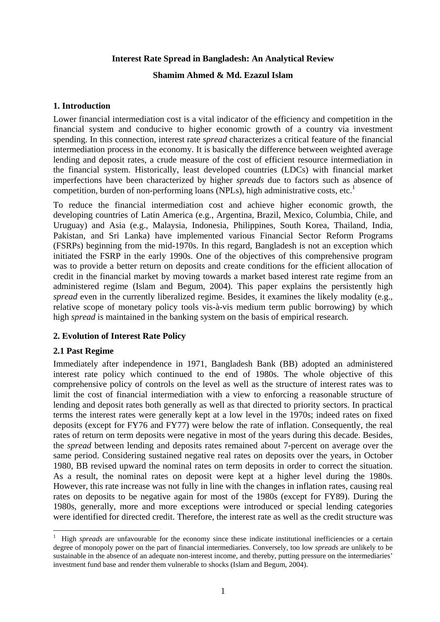### **Interest Rate Spread in Bangladesh: An Analytical Review**

### **Shamim Ahmed & Md. Ezazul Islam**

# **1. Introduction**

Lower financial intermediation cost is a vital indicator of the efficiency and competition in the financial system and conducive to higher economic growth of a country via investment spending. In this connection, interest rate *spread* characterizes a critical feature of the financial intermediation process in the economy. It is basically the difference between weighted average lending and deposit rates, a crude measure of the cost of efficient resource intermediation in the financial system. Historically, least developed countries (LDCs) with financial market imperfections have been characterized by higher *spreads* due to factors such as absence of competition, burden of non-performing loans (NPLs), high administrative costs, etc.<sup>1</sup>

To reduce the financial intermediation cost and achieve higher economic growth, the developing countries of Latin America (e.g., Argentina, Brazil, Mexico, Columbia, Chile, and Uruguay) and Asia (e.g., Malaysia, Indonesia, Philippines, South Korea, Thailand, India, Pakistan, and Sri Lanka) have implemented various Financial Sector Reform Programs (FSRPs) beginning from the mid-1970s. In this regard, Bangladesh is not an exception which initiated the FSRP in the early 1990s. One of the objectives of this comprehensive program was to provide a better return on deposits and create conditions for the efficient allocation of credit in the financial market by moving towards a market based interest rate regime from an administered regime (Islam and Begum, 2004). This paper explains the persistently high *spread* even in the currently liberalized regime. Besides, it examines the likely modality (e.g., relative scope of monetary policy tools vis-à-vis medium term public borrowing) by which high *spread* is maintained in the banking system on the basis of empirical research.

# **2. Evolution of Interest Rate Policy**

# **2.1 Past Regime**

 $\overline{a}$ 

Immediately after independence in 1971, Bangladesh Bank (BB) adopted an administered interest rate policy which continued to the end of 1980s. The whole objective of this comprehensive policy of controls on the level as well as the structure of interest rates was to limit the cost of financial intermediation with a view to enforcing a reasonable structure of lending and deposit rates both generally as well as that directed to priority sectors. In practical terms the interest rates were generally kept at a low level in the 1970s; indeed rates on fixed deposits (except for FY76 and FY77) were below the rate of inflation. Consequently, the real rates of return on term deposits were negative in most of the years during this decade. Besides, the *spread* between lending and deposits rates remained about 7-percent on average over the same period. Considering sustained negative real rates on deposits over the years, in October 1980, BB revised upward the nominal rates on term deposits in order to correct the situation. As a result, the nominal rates on deposit were kept at a higher level during the 1980s. However, this rate increase was not fully in line with the changes in inflation rates, causing real rates on deposits to be negative again for most of the 1980s (except for FY89). During the 1980s, generally, more and more exceptions were introduced or special lending categories were identified for directed credit. Therefore, the interest rate as well as the credit structure was

<span id="page-3-0"></span><sup>1</sup> High *spreads* are unfavourable for the economy since these indicate institutional inefficiencies or a certain degree of monopoly power on the part of financial intermediaries. Conversely, too low *spreads* are unlikely to be sustainable in the absence of an adequate non-interest income, and thereby, putting pressure on the intermediaries' investment fund base and render them vulnerable to shocks (Islam and Begum, 2004).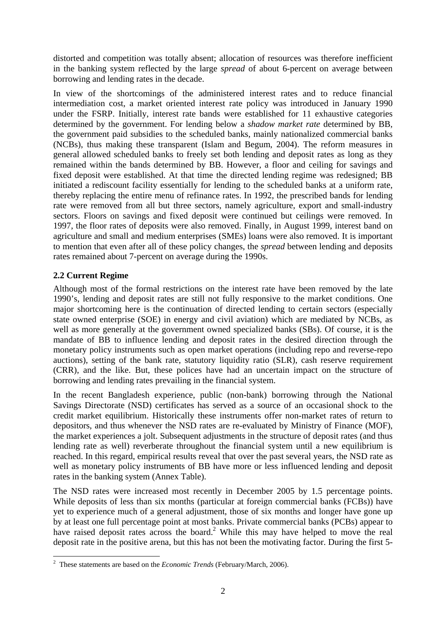distorted and competition was totally absent; allocation of resources was therefore inefficient in the banking system reflected by the large *spread* of about 6-percent on average between borrowing and lending rates in the decade.

In view of the shortcomings of the administered interest rates and to reduce financial intermediation cost, a market oriented interest rate policy was introduced in January 1990 under the FSRP. Initially, interest rate bands were established for 11 exhaustive categories determined by the government. For lending below a *shadow market rate* determined by BB, the government paid subsidies to the scheduled banks, mainly nationalized commercial banks (NCBs), thus making these transparent (Islam and Begum, 2004). The reform measures in general allowed scheduled banks to freely set both lending and deposit rates as long as they remained within the bands determined by BB. However, a floor and ceiling for savings and fixed deposit were established. At that time the directed lending regime was redesigned; BB initiated a rediscount facility essentially for lending to the scheduled banks at a uniform rate, thereby replacing the entire menu of refinance rates. In 1992, the prescribed bands for lending rate were removed from all but three sectors, namely agriculture, export and small-industry sectors. Floors on savings and fixed deposit were continued but ceilings were removed. In 1997, the floor rates of deposits were also removed. Finally, in August 1999, interest band on agriculture and small and medium enterprises (SMEs) loans were also removed. It is important to mention that even after all of these policy changes, the *spread* between lending and deposits rates remained about 7-percent on average during the 1990s.

# **2.2 Current Regime**

Although most of the formal restrictions on the interest rate have been removed by the late 1990's, lending and deposit rates are still not fully responsive to the market conditions. One major shortcoming here is the continuation of directed lending to certain sectors (especially state owned enterprise (SOE) in energy and civil aviation) which are mediated by NCBs, as well as more generally at the government owned specialized banks (SBs). Of course, it is the mandate of BB to influence lending and deposit rates in the desired direction through the monetary policy instruments such as open market operations (including repo and reverse-repo auctions), setting of the bank rate, statutory liquidity ratio (SLR), cash reserve requirement (CRR), and the like. But, these polices have had an uncertain impact on the structure of borrowing and lending rates prevailing in the financial system.

In the recent Bangladesh experience, public (non-bank) borrowing through the National Savings Directorate (NSD) certificates has served as a source of an occasional shock to the credit market equilibrium. Historically these instruments offer non-market rates of return to depositors, and thus whenever the NSD rates are re-evaluated by Ministry of Finance (MOF), the market experiences a jolt. Subsequent adjustments in the structure of deposit rates (and thus lending rate as well) reverberate throughout the financial system until a new equilibrium is reached. In this regard, empirical results reveal that over the past several years, the NSD rate as well as monetary policy instruments of BB have more or less influenced lending and deposit rates in the banking system (Annex Table).

The NSD rates were increased most recently in December 2005 by 1.5 percentage points. While deposits of less than six months (particular at foreign commercial banks (FCBs)) have yet to experience much of a general adjustment, those of six months and longer have gone up by at least one full percentage point at most banks. Private commercial banks (PCBs) appear to have raised deposit rates across the board.<sup>2</sup> While this may have helped to move the real deposit rate in the positive arena, but this has not been the motivating factor. During the first 5-

<span id="page-4-0"></span><sup>&</sup>lt;sup>2</sup> These statements are based on the *Economic Trends* (February/March, 2006).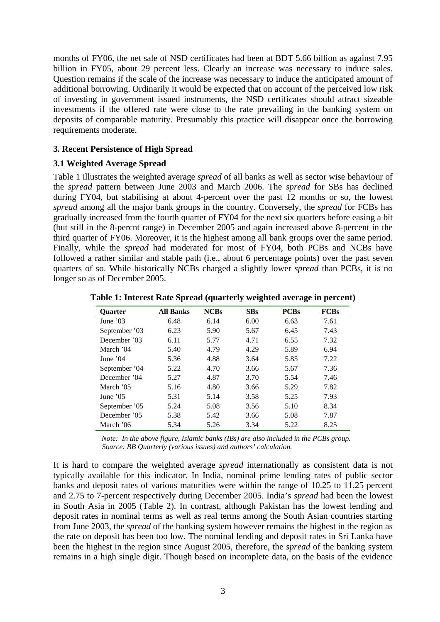months of FY06, the net sale of NSD certificates had been at BDT 5.66 billion as against 7.95 billion in FY05, about 29 percent less. Clearly an increase was necessary to induce sales. Question remains if the scale of the increase was necessary to induce the anticipated amount of additional borrowing. Ordinarily it would be expected that on account of the perceived low risk of investing in government issued instruments, the NSD certificates should attract sizeable investments if the offered rate were close to the rate prevailing in the banking system on deposits of comparable maturity. Presumably this practice will disappear once the borrowing requirements moderate.

### **3. Recent Persistence of High Spread**

### **3.1 Weighted Average Spread**

Table 1 illustrates the weighted average *spread* of all banks as well as sector wise behaviour of the *spread* pattern between June 2003 and March 2006. The *spread* for SBs has declined during FY04, but stabilising at about 4-percent over the past 12 months or so, the lowest *spread* among all the major bank groups in the country. Conversely, the *spread* for FCBs has gradually increased from the fourth quarter of FY04 for the next six quarters before easing a bit (but still in the 8-percnt range) in December 2005 and again increased above 8-percent in the third quarter of FY06. Moreover, it is the highest among all bank groups over the same period. Finally, while the *spread* had moderated for most of FY04, both PCBs and NCBs have followed a rather similar and stable path (i.e., about 6 percentage points) over the past seven quarters of so. While historically NCBs charged a slightly lower *spread* than PCBs, it is no longer so as of December 2005.

| <b>Ouarter</b> | <b>All Banks</b> | <b>NCBs</b> | <b>SBs</b> | <b>PCBs</b> | <b>FCBs</b> |
|----------------|------------------|-------------|------------|-------------|-------------|
| June '03       | 6.48             | 6.14        | 6.00       | 6.63        | 7.61        |
| September '03  | 6.23             | 5.90        | 5.67       | 6.45        | 7.43        |
| December '03   | 6.11             | 5.77        | 4.71       | 6.55        | 7.32        |
| March '04      | 5.40             | 4.79        | 4.29       | 5.89        | 6.94        |
| June $'04$     | 5.36             | 4.88        | 3.64       | 5.85        | 7.22        |
| September '04  | 5.22             | 4.70        | 3.66       | 5.67        | 7.36        |
| December '04   | 5.27             | 4.87        | 3.70       | 5.54        | 7.46        |
| March '05      | 5.16             | 4.80        | 3.66       | 5.29        | 7.82        |
| June $'05$     | 5.31             | 5.14        | 3.58       | 5.25        | 7.93        |
| September '05  | 5.24             | 5.08        | 3.56       | 5.10        | 8.34        |
| December '05   | 5.38             | 5.42        | 3.66       | 5.08        | 7.87        |
| March '06      | 5.34             | 5.26        | 3.34       | 5.22        | 8.25        |

**Table 1: Interest Rate Spread (quarterly weighted average in percent)** 

 *Note: In the above figure, Islamic banks (IBs) are also included in the PCBs group. Source: BB Quarterly (various issues) and authors' calculation.*

It is hard to compare the weighted average *spread* internationally as consistent data is not typically available for this indicator. In India, nominal prime lending rates of public sector banks and deposit rates of various maturities were within the range of 10.25 to 11.25 percent and 2.75 to 7-percent respectively during December 2005. India's *spread* had been the lowest in South Asia in 2005 (Table 2). In contrast, although Pakistan has the lowest lending and deposit rates in nominal terms as well as real terms among the South Asian countries starting from June 2003, the *spread* of the banking system however remains the highest in the region as the rate on deposit has been too low. The nominal lending and deposit rates in Sri Lanka have been the highest in the region since August 2005, therefore, the *spread* of the banking system remains in a high single digit. Though based on incomplete data, on the basis of the evidence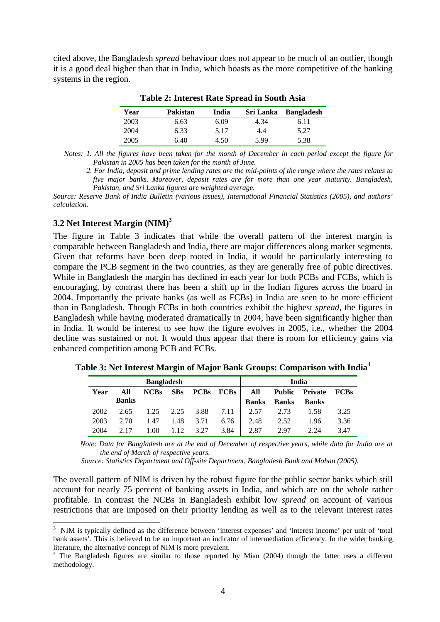cited above, the Bangladesh *spread* behaviour does not appear to be much of an outlier, though it is a good deal higher than that in India, which boasts as the more competitive of the banking systems in the region.

| Year | Pakistan | India | Sri Lanka | Bangladesh |
|------|----------|-------|-----------|------------|
| 2003 | 6.63     | 6.09  | 4.34      | 6.11       |
| 2004 | 6.33     | 5.17  | 4.4       | 5.27       |
| 2005 | 6.40     | 4.50  | 5.99      | 5.38       |

**Table 2: Interest Rate Spread in South Asia** 

 *Notes: 1. All the figures have been taken for the month of December in each period except the figure for Pakistan in 2005 has been taken for the month of June.* 

*2. For India, deposit and prime lending rates are the mid-points of the range where the rates relates to five major banks. Moreover, deposit rates are for more than one year maturity. Bangladesh, Pakistan, and Sri Lanka figures are weighted average.* 

*Source: Reserve Bank of India Bulletin (various issues), International Financial Statistics (2005), and authors' calculation.*

### **3.2 Net Interest Margin (NIM[\)3](#page-6-0)**

 $\overline{a}$ 

The figure in Table 3 indicates that while the overall pattern of the interest margin is comparable between Bangladesh and India, there are major differences along market segments. Given that reforms have been deep rooted in India, it would be particularly interesting to compare the PCB segment in the two countries, as they are generally free of pubic directives. While in Bangladesh the margin has declined in each year for both PCBs and FCBs, which is encouraging, by contrast there has been a shift up in the Indian figures across the board in 2004. Importantly the private banks (as well as FCBs) in India are seen to be more efficient than in Bangladesh. Though FCBs in both countries exhibit the highest *spread*, the figures in Bangladesh while having moderated dramatically in 2004, have been significantly higher than in India. It would be interest to see how the figure evolves in 2005, i.e., whether the 2004 decline was sustained or not. It would thus appear that there is room for efficiency gains via enhanced competition among PCB and FCBs.

|      |              | <b>Bangladesh</b> |            |      |                  |              |               | India        |             |
|------|--------------|-------------------|------------|------|------------------|--------------|---------------|--------------|-------------|
| Year | All          | <b>NCBs</b>       | <b>SBs</b> |      | <b>PCBs</b> FCBs | All          | <b>Public</b> | Private      | <b>FCBs</b> |
|      | <b>Banks</b> |                   |            |      |                  | <b>Banks</b> | <b>Banks</b>  | <b>Banks</b> |             |
| 2002 | 2.65         | 1.25              | 2.25       | 3.88 | 7.11             | 2.57         | 2.73          | 1.58         | 3.25        |
| 2003 | 2.70         | 1.47              | 1.48       | 3.71 | 6.76             | 2.48         | 2.52          | 1.96         | 3.36        |
| 2004 |              | 1.00              | 1.12       | 3.27 | 3.84             | 2.87         | 2.97          | 2.24         | 3.47        |

**Table 3: Net Interest Margin of Major Bank Groups: Comparison with India**[4](#page-6-1)

 *Note: Data for Bangladesh are at the end of December of respective years, while data for India are at the end of March of respective years.* 

*Source: Statistics Department and Off-site Department, Bangladesh Bank and Mohan (2005).* 

The overall pattern of NIM is driven by the robust figure for the public sector banks which still account for nearly 75 percent of banking assets in India, and which are on the whole rather profitable. In contrast the NCBs in Bangladesh exhibit low *spread* on account of various restrictions that are imposed on their priority lending as well as to the relevant interest rates

<span id="page-6-0"></span><sup>&</sup>lt;sup>3</sup> NIM is typically defined as the difference between 'interest expenses' and 'interest income' per unit of 'total bank assets'. This is believed to be an important an indicator of intermediation efficiency. In the wider banking literature, the alternative concept of NIM is more prevalent. <sup>4</sup>

<span id="page-6-1"></span><sup>&</sup>lt;sup>4</sup> The Bangladesh figures are similar to those reported by Mian (2004) though the latter uses a different methodology.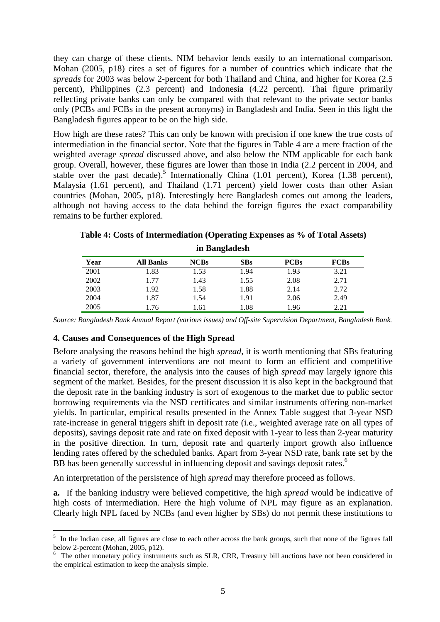they can charge of these clients. NIM behavior lends easily to an international comparison. Mohan (2005, p18) cites a set of figures for a number of countries which indicate that the *spreads* for 2003 was below 2-percent for both Thailand and China, and higher for Korea (2.5 percent), Philippines (2.3 percent) and Indonesia (4.22 percent). Thai figure primarily reflecting private banks can only be compared with that relevant to the private sector banks only (PCBs and FCBs in the present acronyms) in Bangladesh and India. Seen in this light the Bangladesh figures appear to be on the high side.

How high are these rates? This can only be known with precision if one knew the true costs of intermediation in the financial sector. Note that the figures in Table 4 are a mere fraction of the weighted average *spread* discussed above, and also below the NIM applicable for each bank group. Overall, however, these figures are lower than those in India (2.2 percent in 2004, and stable over the past decade).<sup>5</sup> Internationally China  $(1.01$  percent), Korea  $(1.38$  percent), Malaysia (1.61 percent), and Thailand (1.71 percent) yield lower costs than other Asian countries (Mohan, 2005, p18). Interestingly here Bangladesh comes out among the leaders, although not having access to the data behind the foreign figures the exact comparability remains to be further explored.

| in Bangladesh |                  |             |      |                |             |
|---------------|------------------|-------------|------|----------------|-------------|
| Year          | <b>All Banks</b> | <b>NCBs</b> | SBs  | <b>PCBs</b>    | <b>FCBs</b> |
| 2001          | 1.83             | ر ر. د      | 1.94 | Q <sub>2</sub> |             |

**Table 4: Costs of Intermediation (Operating Expenses as % of Total Assets)** 

| Year | <b>All Banks</b> | <b>NCBs</b> | <b>SBs</b> | <b>PCBs</b> | <b>FCBs</b> |
|------|------------------|-------------|------------|-------------|-------------|
| 2001 | l.83             | 1.53        | 1.94       | 1.93        | 3.21        |
| 2002 | .77              | 1.43        | 1.55       | 2.08        | 2.71        |
| 2003 | 1.92             | 1.58        | 1.88       | 2.14        | 2.72        |
| 2004 | l.87             | 1.54        | 1.91       | 2.06        | 2.49        |
| 2005 | .76              | 1.61        | 1.08       | 1.96        | 2.21        |

*Source: Bangladesh Bank Annual Report (various issues) and Off-site Supervision Department, Bangladesh Bank.*

#### **4. Causes and Consequences of the High Spread**

Before analysing the reasons behind the high *spread*, it is worth mentioning that SBs featuring a variety of government interventions are not meant to form an efficient and competitive financial sector, therefore, the analysis into the causes of high *spread* may largely ignore this segment of the market. Besides, for the present discussion it is also kept in the background that the deposit rate in the banking industry is sort of exogenous to the market due to public sector borrowing requirements via the NSD certificates and similar instruments offering non-market yields. In particular, empirical results presented in the Annex Table suggest that 3-year NSD rate-increase in general triggers shift in deposit rate (i.e., weighted average rate on all types of deposits), savings deposit rate and rate on fixed deposit with 1-year to less than 2-year maturity in the positive direction. In turn, deposit rate and quarterly import growth also influence lending rates offered by the scheduled banks. Apart from 3-year NSD rate, bank rate set by the BB has been generally successful in influencing deposit and savings deposit rates.<sup>[6](#page-7-1)</sup>

An interpretation of the persistence of high *spread* may therefore proceed as follows.

**a.** If the banking industry were believed competitive, the high *spread* would be indicative of high costs of intermediation. Here the high volume of NPL may figure as an explanation. Clearly high NPL faced by NCBs (and even higher by SBs) do not permit these institutions to

<span id="page-7-0"></span><sup>&</sup>lt;sup>5</sup> In the Indian case, all figures are close to each other across the bank groups, such that none of the figures fall below 2-percent (Mohan,  $2005$ , p12).

<span id="page-7-1"></span> $6\degree$  The other monetary policy instruments such as SLR, CRR, Treasury bill auctions have not been considered in the empirical estimation to keep the analysis simple.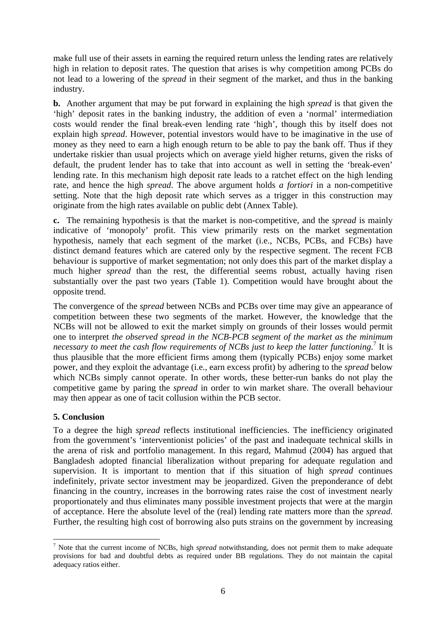make full use of their assets in earning the required return unless the lending rates are relatively high in relation to deposit rates. The question that arises is why competition among PCBs do not lead to a lowering of the *spread* in their segment of the market, and thus in the banking industry.

**b.** Another argument that may be put forward in explaining the high *spread* is that given the 'high' deposit rates in the banking industry, the addition of even a 'normal' intermediation costs would render the final break-even lending rate 'high', though this by itself does not explain high *spread*. However, potential investors would have to be imaginative in the use of money as they need to earn a high enough return to be able to pay the bank off. Thus if they undertake riskier than usual projects which on average yield higher returns, given the risks of default, the prudent lender has to take that into account as well in setting the 'break-even' lending rate. In this mechanism high deposit rate leads to a ratchet effect on the high lending rate, and hence the high *spread*. The above argument holds *a fortiori* in a non-competitive setting. Note that the high deposit rate which serves as a trigger in this construction may originate from the high rates available on public debt (Annex Table).

**c.** The remaining hypothesis is that the market is non-competitive, and the *spread* is mainly indicative of 'monopoly' profit. This view primarily rests on the market segmentation hypothesis, namely that each segment of the market (i.e., NCBs, PCBs, and FCBs) have distinct demand features which are catered only by the respective segment. The recent FCB behaviour is supportive of market segmentation; not only does this part of the market display a much higher *spread* than the rest, the differential seems robust, actually having risen substantially over the past two years (Table 1). Competition would have brought about the opposite trend.

The convergence of the *spread* between NCBs and PCBs over time may give an appearance of competition between these two segments of the market. However, the knowledge that the NCBs will not be allowed to exit the market simply on grounds of their losses would permit one to interpret *the observed spread in the NCB-PCB segment of the market as the minimum*  necessaryto meet the cash flow requirements of NCBs just to keep the latter functioning.<sup>7</sup> It is thus plausible that the more efficient firms among them (typically PCBs) enjoy some market power, and they exploit the advantage (i.e., earn excess profit) by adhering to the *spread* below which NCBs simply cannot operate. In other words, these better-run banks do not play the competitive game by paring the *spread* in order to win market share. The overall behaviour may then appear as one of tacit collusion within the PCB sector.

### **5. Conclusion**

To a degree the high *spread* reflects institutional inefficiencies. The inefficiency originated from the government's 'interventionist policies' of the past and inadequate technical skills in the arena of risk and portfolio management. In this regard, Mahmud (2004) has argued that Bangladesh adopted financial liberalization without preparing for adequate regulation and supervision. It is important to mention that if this situation of high *spread* continues indefinitely, private sector investment may be jeopardized. Given the preponderance of debt financing in the country, increases in the borrowing rates raise the cost of investment nearly proportionately and thus eliminates many possible investment projects that were at the margin of acceptance. Here the absolute level of the (real) lending rate matters more than the *spread*. Further, the resulting high cost of borrowing also puts strains on the government by increasing

<span id="page-8-0"></span> $\overline{a}$ 7 Note that the current income of NCBs, high *spread* notwithstanding, does not permit them to make adequate provisions for bad and doubtful debts as required under BB regulations. They do not maintain the capital adequacy ratios either.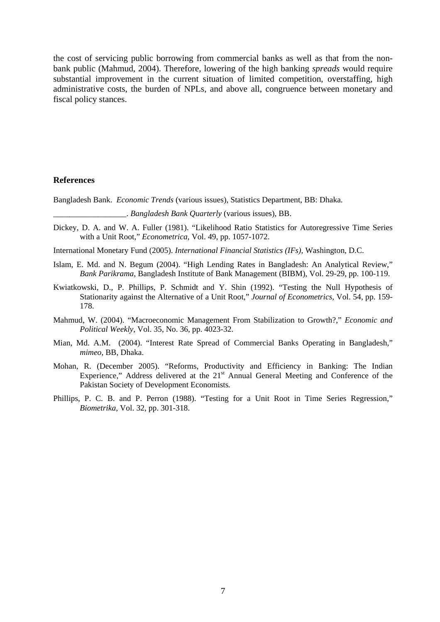the cost of servicing public borrowing from commercial banks as well as that from the nonbank public (Mahmud, 2004). Therefore, lowering of the high banking *spreads* would require substantial improvement in the current situation of limited competition, overstaffing, high administrative costs, the burden of NPLs, and above all, congruence between monetary and fiscal policy stances.

#### **References**

Bangladesh Bank. *Economic Trends* (various issues), Statistics Department, BB: Dhaka.

\_\_\_\_\_\_\_\_\_\_\_\_\_\_\_\_\_\_. *Bangladesh Bank Quarterly* (various issues), BB.

- Dickey, D. A. and W. A. Fuller (1981). "Likelihood Ratio Statistics for Autoregressive Time Series with a Unit Root," *Econometrica*, Vol. 49, pp. 1057-1072.
- International Monetary Fund (2005). *International Financial Statistics (IFs)*, Washington, D.C.
- Islam, E. Md. and N. Begum (2004). "High Lending Rates in Bangladesh: An Analytical Review," *Bank Parikrama*, Bangladesh Institute of Bank Management (BIBM), Vol. 29-29, pp. 100-119.
- Kwiatkowski, D., P. Phillips, P. Schmidt and Y. Shin (1992). "Testing the Null Hypothesis of Stationarity against the Alternative of a Unit Root," *Journal of Econometrics*, Vol. 54, pp. 159- 178.
- Mahmud, W. (2004). "Macroeconomic Management From Stabilization to Growth?," *Economic and Political Weekly*, Vol. 35, No. 36, pp. 4023-32.
- Mian, Md. A.M. (2004). "Interest Rate Spread of Commercial Banks Operating in Bangladesh," *mimeo*, BB, Dhaka.
- Mohan, R. (December 2005). "Reforms, Productivity and Efficiency in Banking: The Indian Experience," Address delivered at the 21<sup>st</sup> Annual General Meeting and Conference of the Pakistan Society of Development Economists*.*
- Phillips, P. C. B. and P. Perron (1988). "Testing for a Unit Root in Time Series Regression," *Biometrika,* Vol. 32, pp. 301-318.